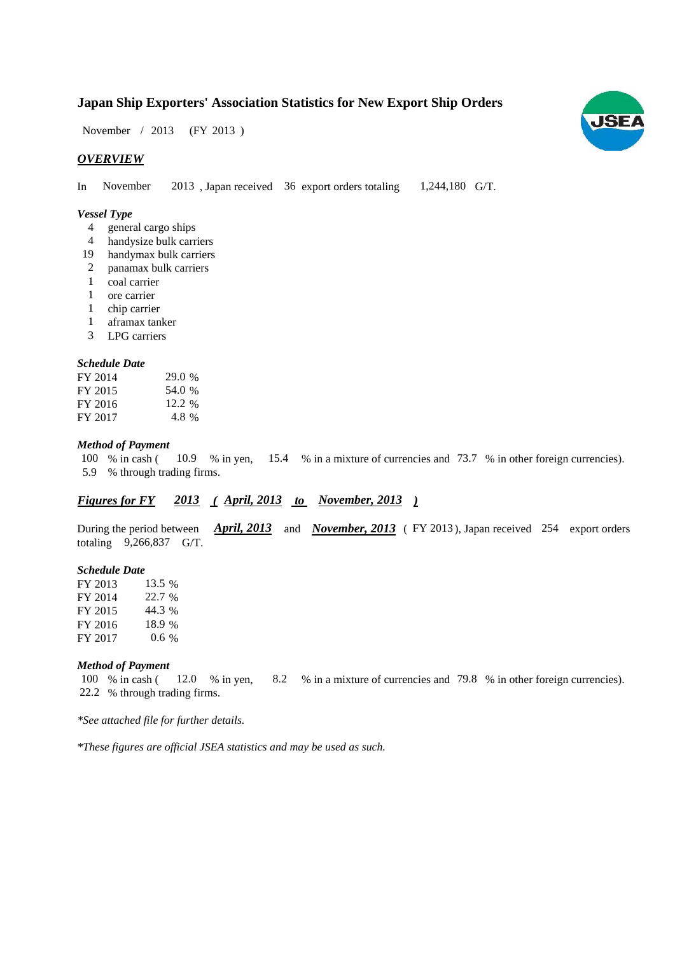# **Japan Ship Exporters' Association Statistics for New Export Ship Orders**

November / 2013 (FY 2013)

### *OVERVIEW*

In November 2013, Japan received 36 export orders totaling 1,244,180 G/T. November 1,244,180 G/T.

#### *Vessel Type*

- general cargo ships 4
- handysize bulk carriers 4
- handymax bulk carriers 19
- panamax bulk carriers 2
- coal carrier 1
- ore carrier 1
- chip carrier 1
- aframax tanker 1
- LPG carriers 3

#### *Schedule Date*

| FY 2014 | 29.0 % |
|---------|--------|
| FY 2015 | 54.0 % |
| FY 2016 | 12.2 % |
| FY 2017 | 4.8 %  |

#### *Method of Payment*

% in cash ( $10.9$  % in yen,  $15.4$  % in a mixture of currencies and 73.7 % in other foreign currencies). % through trading firms. 5.9 100 % in cash (

### *Figures for FY* 2013 (April, 2013 to November, 2013)

During the period between *April, 2013* and *November, 2013* (FY 2013), Japan received 254 export orders totaling  $9,266,837$  G/T.

#### *Schedule Date*

| FY 2013 | 13.5 %  |
|---------|---------|
| FY 2014 | 22.7 %  |
| FY 2015 | 44.3%   |
| FY 2016 | 18.9 %  |
| FY 2017 | $0.6\%$ |

#### *Method of Payment*

% in cash ( $\frac{12.0}{8}$  in yen,  $\frac{8.2}{8}$  % in a mixture of currencies and 79.8 % in other foreign currencies). 22.2 % through trading firms. 100 % in cash (12.0 % in yen,

*\*See attached file for further details.*

*\*These figures are official JSEA statistics and may be used as such.*

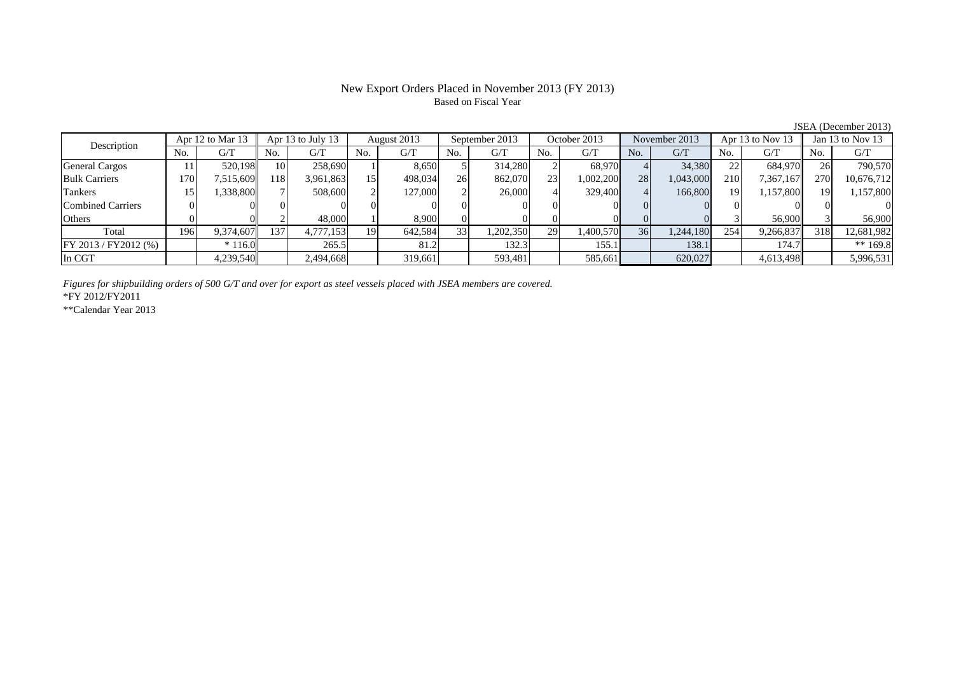## New Export Orders Placed in November 2013 (FY 2013) Based on Fiscal Year

JSEA (December 2013)

| Description             |      | Apr 12 to Mar 13 |                 | Apr 13 to July 13 |     | August 2013 |     | September 2013 |     | October 2013 |     | November 2013 |     | Apr 13 to Nov 13 |     | Jan $13$ to Nov $13$ |
|-------------------------|------|------------------|-----------------|-------------------|-----|-------------|-----|----------------|-----|--------------|-----|---------------|-----|------------------|-----|----------------------|
|                         | No.  | G/T              | No.             | G/T               | No. | G/T         | No. | G/T            | No. | G/T          | No. | G/T           | No. | G/T              | No. | G/T                  |
| <b>General Cargos</b>   |      | 520,198          | 10 <sup>1</sup> | 258,690           |     | 8,650       |     | 314,280        |     | 68.970       |     | 34,380        | 22  | 684,970          |     | 790,570              |
| <b>Bulk Carriers</b>    | 1701 | 7,515,609        | 118             | 3,961,863         | 15  | 498,034     | 26  | 862,070        | 23  | 1,002,200    | 28  | 1,043,000     | 210 | 7,367,167        | 270 | 10,676,712           |
| Tankers                 |      | 1,338,800        |                 | 508,600           |     | 127,000     |     | 26,000         |     | 329,400      |     | 166,800       | 19  | 1,157,800        | 19  | 1,157,800            |
| Combined Carriers       |      |                  |                 |                   |     |             |     |                |     |              |     |               |     |                  |     |                      |
| Others                  |      |                  |                 | 48,000            |     | 8,900       |     |                |     |              |     |               |     | 56,900           |     | 56,900               |
| Total                   | 196  | 9,374,607        | 137             | 4,777,153         | 19  | 642,584     | 33  | 1,202,350      | 29  | 1,400,570    | 36  | 1,244,180     | 254 | 9,266,837        | 318 | 12,681,982           |
| $FY 2013 / FY 2012$ (%) |      | $*116.0$         |                 | 265.5             |     | 81.2        |     | 132.3          |     | 155.1        |     | 138.1         |     | 174.7            |     | ** $169.8$           |
| In CGT                  |      | 4,239,540        |                 | 2,494,668         |     | 319,661     |     | 593,481        |     | 585,661      |     | 620,027       |     | 4,613,498        |     | 5,996,531            |

*Figures for shipbuilding orders of 500 G/T and over for export as steel vessels placed with JSEA members are covered.*

\*FY 2012/FY2011

\*\*Calendar Year 2013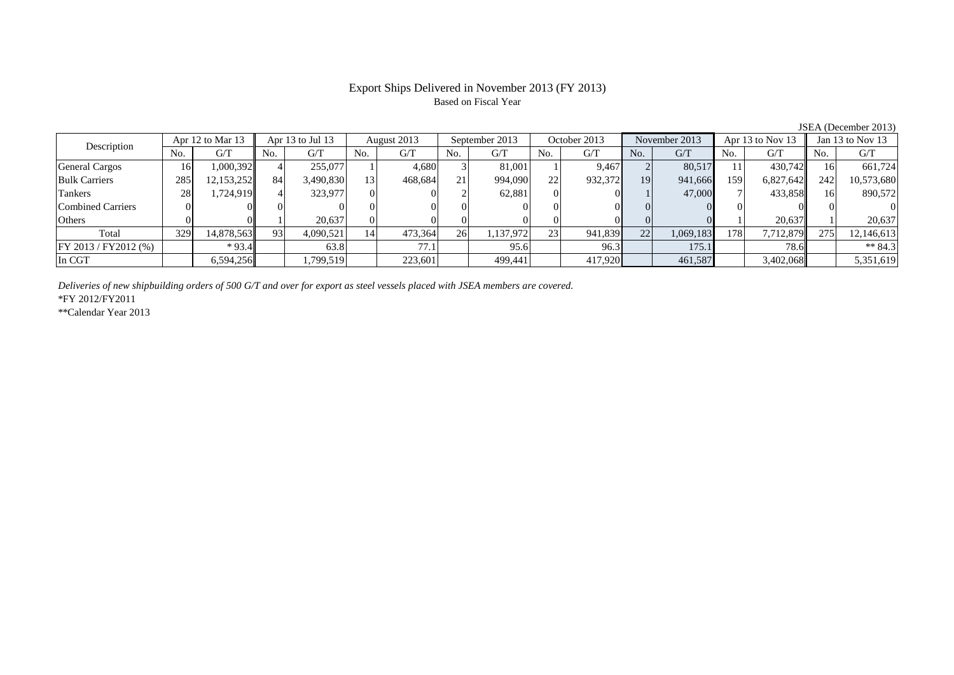# Based on Fiscal Year

No. G/T No. G/T No. G/T No. G/T No. G/T No. G/T No. G/T No. G/T $G/T$ General Cargos ( 16 1,000,392 4 255,077 1 4,680 3 81,001 1 9,467 2 80,517 11 430,742 16 661,724 Bulk Carriers 285 12,153,252 84 3,490,830 13 468,684 21 994,090 22 932,372 19 941,666 159 6,827,642 242 10,573,680 Tankers | 28 | 1,724,919 || 4 | 323,977 | 0 | 2 | 62,881 | 0 | 1 | 47,000 | 7 | 433,858 || 16 | 890,572 Combined Carriers 0 0 0 0 0 0 0 0 0 0 0 0 0 0 0 0Others 0 0 1 20,637 0 0 0 0 0 0 0 0 1 20,637 1 20,637 Total 329 14,878,563 93 4,090,521 14 473,364 26 1,137,972 23 941,839 22 1,069,183 178 7,712,879 275 12,146,613 FY 2013 / FY2012 (%) \* 93.4 63.8 77.1 95.6 96.3 175.1 78.6 78.6 \*\* 84.3 In CGT | | 6,594,256|| | 1,799,519| | 223,601| | 499,441| | 417,920| | 461,587| | 3,402,068|| | 5,351,619 Description Apr 12 to Mar 13 Apr 13 to Jul 13 August 2013 September 2013<br>No. 6/T No. 6/T No. 6/T No. 6/T October 2013 November 2013 Apr 13 to Nov 13 Jan 13 to Nov 13

*Deliveries of new shipbuilding orders of 500 G/T and over for export as steel vessels placed with JSEA members are covered.*

\*FY 2012/FY2011

\*\*Calendar Year 2013

JSEA (December 2013)

# Export Ships Delivered in November 2013 (FY 2013)